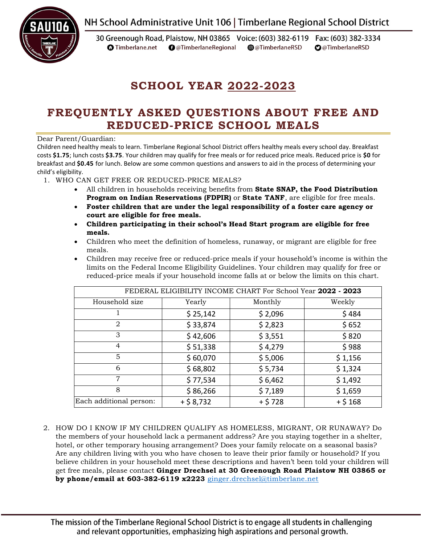NH School Administrative Unit 106 | Timberlane Regional School District



30 Greenough Road, Plaistow, NH 03865 Voice: (603) 382-6119 Fax: (603) 382-3334 **O** Timberlane.net **O** @TimberlaneRegional @@TimberlaneRSD **O**@TimberlaneRSD

# **SCHOOL YEAR 2022-2023**

## **FREQUENTLY ASKED QUESTIONS ABOUT FREE AND REDUCED-PRICE SCHOOL MEALS**

Dear Parent/Guardian:

Children need healthy meals to learn. Timberlane Regional School District offers healthy meals every school day. Breakfast costs **\$1.75**; lunch costs **\$3.75**. Your children may qualify for free meals or for reduced price meals. Reduced price is **\$0** for breakfast and **\$0.45** for lunch. Below are some common questions and answers to aid in the process of determining your child's eligibility.

1. WHO CAN GET FREE OR REDUCED-PRICE MEALS?

- All children in households receiving benefits from **State SNAP, the Food Distribution Program on Indian Reservations (FDPIR)** or **State TANF**, are eligible for free meals.
- **Foster children that are under the legal responsibility of a foster care agency or court are eligible for free meals.**
- **Children participating in their school's Head Start program are eligible for free meals.**
- Children who meet the definition of homeless, runaway, or migrant are eligible for free meals.
- Children may receive free or reduced-price meals if your household's income is within the limits on the Federal Income Eligibility Guidelines. Your children may qualify for free or reduced-price meals if your household income falls at or below the limits on this chart.

| FEDERAL ELIGIBILITY INCOME CHART For School Year 2022 - 2023 |            |          |            |  |
|--------------------------------------------------------------|------------|----------|------------|--|
| Household size                                               | Yearly     | Monthly  | Weekly     |  |
|                                                              | \$25,142   | \$2,096  | \$484      |  |
| 2                                                            | \$33,874   | \$2,823  | \$652      |  |
| 3                                                            | \$42,606   | \$3,551  | \$820      |  |
| $\overline{4}$                                               | \$51,338   | \$4,279  | \$988      |  |
| 5                                                            | \$60,070   | \$5,006  | \$1,156    |  |
| 6                                                            | \$68,802   | \$5,734  | \$1,324    |  |
| 7                                                            | \$77,534   | \$6,462  | \$1,492    |  |
| 8                                                            | \$86,266   | \$7,189  | \$1,659    |  |
| Each additional person:                                      | $+ $8,732$ | $+ $728$ | $+$ \$ 168 |  |

2. HOW DO I KNOW IF MY CHILDREN QUALIFY AS HOMELESS, MIGRANT, OR RUNAWAY? Do the members of your household lack a permanent address? Are you staying together in a shelter, hotel, or other temporary housing arrangement? Does your family relocate on a seasonal basis? Are any children living with you who have chosen to leave their prior family or household? If you believe children in your household meet these descriptions and haven't been told your children will get free meals, please contact **Ginger Drechsel at 30 Greenough Road Plaistow NH 03865 or by phone/email at 603-382-6119 x2223** ginger.drechsel@timberlane.net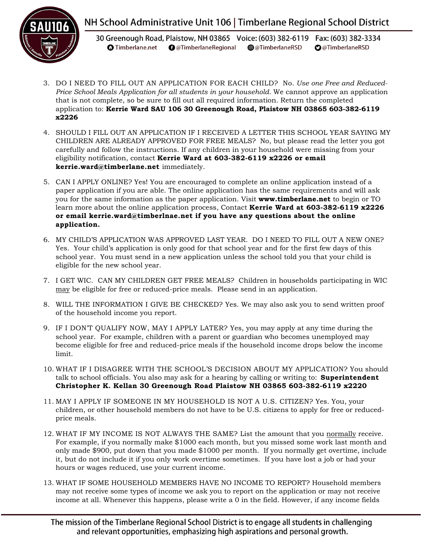

## NH School Administrative Unit 106 | Timberlane Regional School District

30 Greenough Road, Plaistow, NH 03865 Voice: (603) 382-6119 Fax: (603) 382-3334 **O** Timberlane.net **O** @TimberlaneRegional @@TimberlaneRSD **O**@TimberlaneRSD

- 3. DO I NEED TO FILL OUT AN APPLICATION FOR EACH CHILD? No. *Use one Free and Reduced-Price School Meals Application for all students in your household.* We cannot approve an application that is not complete, so be sure to fill out all required information. Return the completed application to: **Kerrie Ward SAU 106 30 Greenough Road, Plaistow NH 03865 603-382-6119 x2226**
- 4. SHOULD I FILL OUT AN APPLICATION IF I RECEIVED A LETTER THIS SCHOOL YEAR SAYING MY CHILDREN ARE ALREADY APPROVED FOR FREE MEALS? No, but please read the letter you got carefully and follow the instructions. If any children in your household were missing from your eligibility notification, contact **Kerrie Ward at 603-382-6119 x2226 or email kerrie.ward@timberlane.net** immediately.
- 5. CAN I APPLY ONLINE? Yes! You are encouraged to complete an online application instead of a paper application if you are able. The online application has the same requirements and will ask you for the same information as the paper application. Visit **www.timberlane.net** to begin or TO learn more about the online application process, Contact **Kerrie Ward at 603-382-6119 x2226 or email kerrie.ward@timberlnae.net if you have any questions about the online application.**
- 6. MY CHILD'S APPLICATION WAS APPROVED LAST YEAR. DO I NEED TO FILL OUT A NEW ONE? Yes. Your child's application is only good for that school year and for the first few days of this school year. You must send in a new application unless the school told you that your child is eligible for the new school year.
- 7. I GET WIC. CAN MY CHILDREN GET FREE MEALS? Children in households participating in WIC may be eligible for free or reduced-price meals. Please send in an application.
- 8. WILL THE INFORMATION I GIVE BE CHECKED? Yes. We may also ask you to send written proof of the household income you report.
- 9. IF I DON'T QUALIFY NOW, MAY I APPLY LATER? Yes, you may apply at any time during the school year. For example, children with a parent or guardian who becomes unemployed may become eligible for free and reduced-price meals if the household income drops below the income limit.
- 10. WHAT IF I DISAGREE WITH THE SCHOOL'S DECISION ABOUT MY APPLICATION? You should talk to school officials. You also may ask for a hearing by calling or writing to: **Superintendent Christopher K. Kellan 30 Greenough Road Plaistow NH 03865 603-382-6119 x2220**
- 11. MAY I APPLY IF SOMEONE IN MY HOUSEHOLD IS NOT A U.S. CITIZEN? Yes. You, your children, or other household members do not have to be U.S. citizens to apply for free or reducedprice meals.
- 12. WHAT IF MY INCOME IS NOT ALWAYS THE SAME? List the amount that you normally receive. For example, if you normally make \$1000 each month, but you missed some work last month and only made \$900, put down that you made \$1000 per month. If you normally get overtime, include it, but do not include it if you only work overtime sometimes. If you have lost a job or had your hours or wages reduced, use your current income.
- 13. WHAT IF SOME HOUSEHOLD MEMBERS HAVE NO INCOME TO REPORT? Household members may not receive some types of income we ask you to report on the application or may not receive income at all. Whenever this happens, please write a 0 in the field. However, if any income fields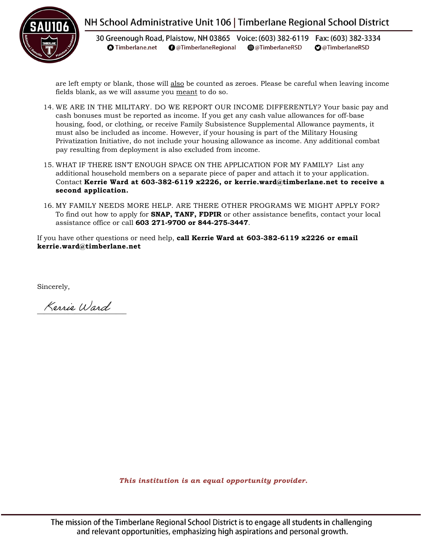

### NH School Administrative Unit 106 | Timberlane Regional School District

30 Greenough Road, Plaistow, NH 03865 Voice: (603) 382-6119 Fax: (603) 382-3334 **O** Timberlane.net **O** @TimberlaneRegional @@TimberlaneRSD **O**@TimberlaneRSD

are left empty or blank, those will also be counted as zeroes. Please be careful when leaving income fields blank, as we will assume you meant to do so.

- 14. WE ARE IN THE MILITARY. DO WE REPORT OUR INCOME DIFFERENTLY? Your basic pay and cash bonuses must be reported as income. If you get any cash value allowances for off-base housing, food, or clothing, or receive Family Subsistence Supplemental Allowance payments, it must also be included as income. However, if your housing is part of the Military Housing Privatization Initiative, do not include your housing allowance as income. Any additional combat pay resulting from deployment is also excluded from income.
- 15. WHAT IF THERE ISN'T ENOUGH SPACE ON THE APPLICATION FOR MY FAMILY? List any additional household members on a separate piece of paper and attach it to your application. Contact **Kerrie Ward at 603-382-6119 x2226, or kerrie.ward@timberlane.net to receive a second application.**
- 16. MY FAMILY NEEDS MORE HELP. ARE THERE OTHER PROGRAMS WE MIGHT APPLY FOR? To find out how to apply for **SNAP, TANF, FDPIR** or other assistance benefits, contact your local assistance office or call **603 271-9700 or 844-275-3447**.

If you have other questions or need help, **call Kerrie Ward at 603-382-6119 x2226 or email kerrie.ward@timberlane.net**

Sincerely,

Kerrie Ward

*This institution is an equal opportunity provider.*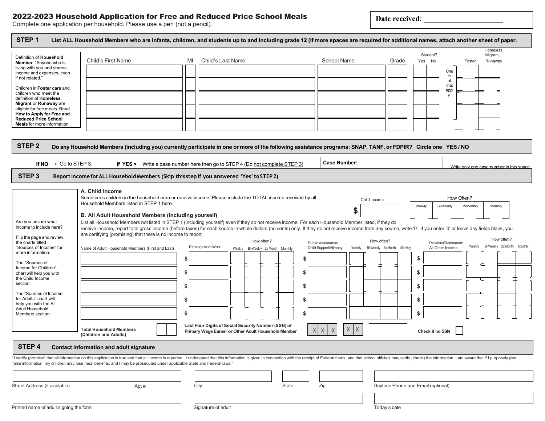### 2022-2023 Household Application for Free and Reduced Price School Meals

**Date received**:

Complete one application per household. Please use a pen (not a pencil).

|                                                                           |                                                                                                                                                                                                                                                                                                                                                                               |                         |                                                     |                                 |                               | Student?                           | Homeless,<br>Migrant,                              |
|---------------------------------------------------------------------------|-------------------------------------------------------------------------------------------------------------------------------------------------------------------------------------------------------------------------------------------------------------------------------------------------------------------------------------------------------------------------------|-------------------------|-----------------------------------------------------|---------------------------------|-------------------------------|------------------------------------|----------------------------------------------------|
| Definition of Household<br>Member: "Anyone who is                         | Child's First Name                                                                                                                                                                                                                                                                                                                                                            | Child's Last Name<br>MI |                                                     | <b>School Name</b>              | Grade                         | Yes No                             | Foster<br>Runaway                                  |
| living with you and shares<br>income and expenses, even                   |                                                                                                                                                                                                                                                                                                                                                                               |                         |                                                     |                                 |                               | Che                                |                                                    |
| if not related."                                                          |                                                                                                                                                                                                                                                                                                                                                                               |                         |                                                     |                                 |                               | ck<br>all                          |                                                    |
| Children in Foster care and                                               |                                                                                                                                                                                                                                                                                                                                                                               |                         |                                                     |                                 |                               | that                               |                                                    |
| children who meet the<br>definition of Homeless.                          |                                                                                                                                                                                                                                                                                                                                                                               |                         |                                                     |                                 |                               | appl<br>y                          |                                                    |
| Migrant or Runaway are                                                    |                                                                                                                                                                                                                                                                                                                                                                               |                         |                                                     |                                 |                               |                                    |                                                    |
| eligible for free meals. Read<br>How to Apply for Free and                |                                                                                                                                                                                                                                                                                                                                                                               |                         |                                                     |                                 |                               |                                    |                                                    |
| <b>Reduced Price School</b><br>Meals for more information.                |                                                                                                                                                                                                                                                                                                                                                                               |                         |                                                     |                                 |                               |                                    |                                                    |
|                                                                           |                                                                                                                                                                                                                                                                                                                                                                               |                         |                                                     |                                 |                               |                                    |                                                    |
|                                                                           |                                                                                                                                                                                                                                                                                                                                                                               |                         |                                                     |                                 |                               |                                    |                                                    |
| STEP <sub>2</sub>                                                         | Do any Household Members (including you) currently participate in one or more of the following assistance programs: SNAP, TANF, or FDPIR? Circle one YES / NO                                                                                                                                                                                                                 |                         |                                                     |                                 |                               |                                    |                                                    |
|                                                                           |                                                                                                                                                                                                                                                                                                                                                                               |                         |                                                     |                                 |                               |                                    |                                                    |
| If $NO \rightarrow Go$ to STEP 3.                                         | If YES > Write a case number here then go to STEP 4 (Do not complete STEP 3)                                                                                                                                                                                                                                                                                                  |                         |                                                     | <b>Case Number:</b>             |                               |                                    | Write only one case number in this space.          |
| STEP <sub>3</sub>                                                         | Report Income for ALL Household Members (Skip this step if you answered 'Yes' to STEP 2)                                                                                                                                                                                                                                                                                      |                         |                                                     |                                 |                               |                                    |                                                    |
|                                                                           |                                                                                                                                                                                                                                                                                                                                                                               |                         |                                                     |                                 |                               |                                    |                                                    |
|                                                                           | A. Child Income                                                                                                                                                                                                                                                                                                                                                               |                         |                                                     |                                 |                               |                                    |                                                    |
|                                                                           | Sometimes children in the household earn or receive income. Please include the TOTAL income received by all<br>Household Members listed in STEP 1 here.                                                                                                                                                                                                                       |                         |                                                     |                                 | Child income                  |                                    | How Often?                                         |
|                                                                           |                                                                                                                                                                                                                                                                                                                                                                               |                         |                                                     | \$                              |                               | <b>Bi-Weekly</b><br>Weekly         | 2xMonthly<br>Monthly                               |
|                                                                           | B. All Adult Household Members (including yourself)                                                                                                                                                                                                                                                                                                                           |                         |                                                     |                                 |                               |                                    |                                                    |
| Are you unsure what<br>income to include here?                            | List all Household Members not listed in STEP 1 (including yourself) even if they do not receive income. For each Household Member listed, if they do<br>receive income, report total gross income (before taxes) for each source in whole dollars (no cents) only. If they do not receive income from any source, write '0'. If you enter '0' or leave any fields blank, you |                         |                                                     |                                 |                               |                                    |                                                    |
| Flip the page and review                                                  | are certifying (promising) that there is no income to report.                                                                                                                                                                                                                                                                                                                 |                         |                                                     |                                 |                               |                                    |                                                    |
| the charts titled                                                         |                                                                                                                                                                                                                                                                                                                                                                               |                         | How often?                                          | Public Assistance/              | How often?                    | Pensions/Retirement/               | How often?<br>Bi-Weekly 2x Month Monthly<br>Weekly |
| "Sources of Income" for<br>more information.                              | Name of Adult Household Members (First and Last)                                                                                                                                                                                                                                                                                                                              | Earnings from Work      | Bi-Weekly 2x Month Monthly<br>Weekly                | Child Support/Alimony<br>Weekly | Bi-Weekly 2x Month<br>Monthly | All Other Income                   |                                                    |
| The "Sources of                                                           |                                                                                                                                                                                                                                                                                                                                                                               | \$                      |                                                     |                                 |                               | \$                                 |                                                    |
| Income for Children"                                                      |                                                                                                                                                                                                                                                                                                                                                                               |                         |                                                     |                                 |                               |                                    |                                                    |
| chart will help you with<br>the Child Income                              |                                                                                                                                                                                                                                                                                                                                                                               | \$                      |                                                     |                                 |                               | \$                                 |                                                    |
| section.                                                                  |                                                                                                                                                                                                                                                                                                                                                                               | \$                      |                                                     |                                 |                               | \$                                 |                                                    |
|                                                                           |                                                                                                                                                                                                                                                                                                                                                                               |                         |                                                     |                                 |                               |                                    |                                                    |
|                                                                           |                                                                                                                                                                                                                                                                                                                                                                               |                         |                                                     |                                 |                               |                                    |                                                    |
| The "Sources of Income<br>for Adults" chart will<br>help you with the All |                                                                                                                                                                                                                                                                                                                                                                               | \$                      |                                                     |                                 |                               | \$                                 |                                                    |
| Adult Household                                                           |                                                                                                                                                                                                                                                                                                                                                                               |                         |                                                     |                                 |                               |                                    |                                                    |
| Members section.                                                          |                                                                                                                                                                                                                                                                                                                                                                               | \$                      |                                                     |                                 |                               | \$                                 |                                                    |
|                                                                           | <b>Total Household Members</b>                                                                                                                                                                                                                                                                                                                                                |                         | Last Four Digits of Social Security Number (SSN) of | X                               |                               |                                    |                                                    |
|                                                                           | (Children and Adults)                                                                                                                                                                                                                                                                                                                                                         |                         | Primary Wage Earner or Other Adult Household Member | Χ<br>$X$ $X$<br>$\times$        |                               | Check if no SSN                    |                                                    |
|                                                                           |                                                                                                                                                                                                                                                                                                                                                                               |                         |                                                     |                                 |                               |                                    |                                                    |
|                                                                           | <b>Contact information and adult signature</b>                                                                                                                                                                                                                                                                                                                                |                         |                                                     |                                 |                               |                                    |                                                    |
|                                                                           | "I certify (promise) that all information on this application is true and that all income is reported. I understand that this information is given in connection with the receipt of Federal funds, and that school officials<br>false information, my children may lose meal benefits, and I may be prosecuted under applicable State and Federal laws."                     |                         |                                                     |                                 |                               |                                    |                                                    |
|                                                                           |                                                                                                                                                                                                                                                                                                                                                                               |                         |                                                     |                                 |                               |                                    |                                                    |
| STEP 4                                                                    |                                                                                                                                                                                                                                                                                                                                                                               |                         |                                                     |                                 |                               |                                    |                                                    |
| Street Address (if available)                                             | Apt#                                                                                                                                                                                                                                                                                                                                                                          | City                    |                                                     | State<br>Zip                    |                               | Daytime Phone and Email (optional) |                                                    |